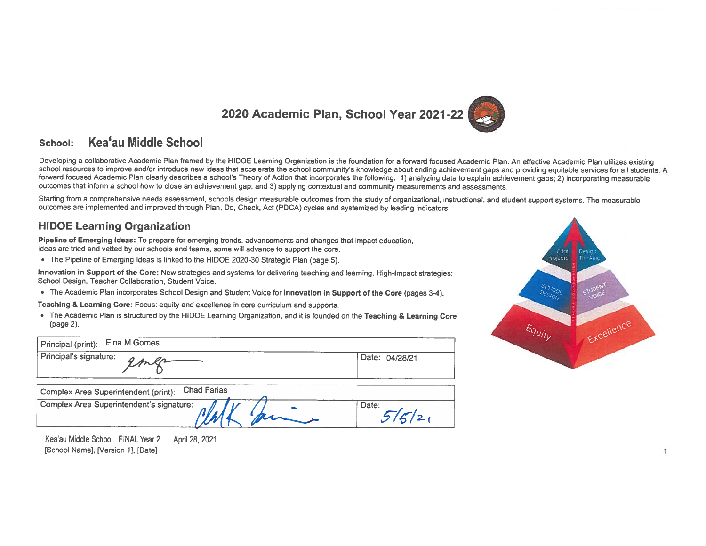

#### Kea'au Middle School School:

Developing a collaborative Academic Plan framed by the HIDOE Leaming Organization is the foundation for a forward focused Academic Plan. An effective Academic Plan utilizes existing school resources to improve and/or introduce new ideas that accelerate the school community's knowledge about ending achievement gaps and providing equitable services for all students. A forward focused Academic Plan clearly describes a school's Theory of Action that incorporates the following: 1) analyzing data to explain achievement gaps; 2) incorporating measurable outcomes that inform a school how to close an achievement gap; and 3) applying contextual and community measurements and assessments.

Starting from a comprehensive needs assessment, schools design measurable outcomes from the study of organizational, instructional, and student support systems. The measurable outcomes are implemented and improved through Plan, Do, Check, Act (PDCA) cycles and systemized by leading indicators.

#### **HIDOE Learning Organization**

Pipeline of Emerging Ideas: To prepare for emerging trends, advancements and changes that impact education, ideas are tried and vetted by our schools and teams, some will advance to support the core.

• The Pipeline of Emerging Ideas is linked to the HIDOE 2020-30 Strategic Plan (page 5).

Innovation in Support of the Core: New strategies and systems for delivering teaching and leaming. High-Impact strategies: School Design, Teacher Collaboration, Student Voice.

• The Academic Plan incorporates School Design and Student Voice for Innovation in Support of the Core (pages 3-4).

Teaching & Learning Core: Focus: equity and excellence in core curriculum and supports.

• The Academic Plan is structured by the HIDOE Learning Organization, and it is founded on the Teaching & Learning Core (page 2).

| Elna M Gomes<br>Principal (print):                         |                |
|------------------------------------------------------------|----------------|
| Principal's signature:                                     | Date: 04/28/21 |
| <b>Chad Farias</b><br>Complex Area Superintendent (print): |                |
| Complex Area Superintendent's signature:                   | Date:          |

Kea'au Middle School FINAL Year 2 April 28, 2021 [School Name], [Version 1], [Date]



1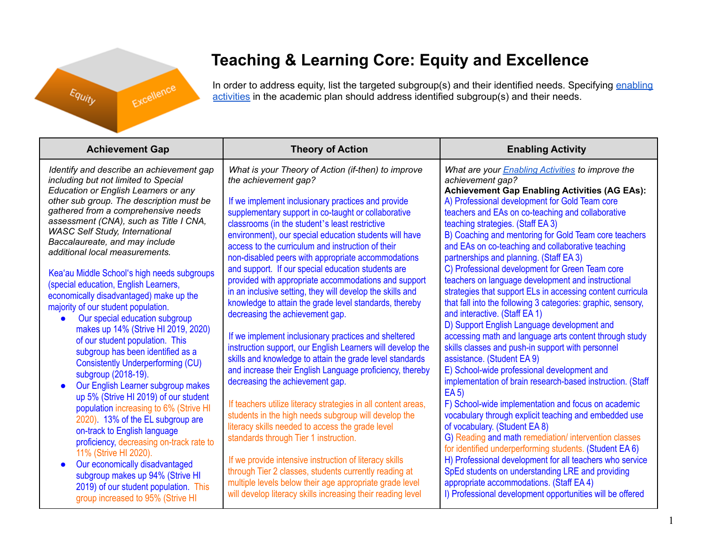

# **Teaching & Learning Core: Equity and Excellence**

In order to address equity, list the targeted subgroup(s) and their identified needs. Specifying [enabling](https://docs.google.com/document/d/1_CBCCCUPTqpr2sEeh1fQ9EUVupyhBBZlYUdzcm9zCw0/edit) [activities](https://docs.google.com/document/d/1_CBCCCUPTqpr2sEeh1fQ9EUVupyhBBZlYUdzcm9zCw0/edit) in the academic plan should address identified subgroup(s) and their needs.

| <b>Achievement Gap</b>                                                                                                                                                                                                                                                                                                                                                                                                                                                                                                                                                                                                                                                                                                                                                                                                                                                                                                                                                                                                                                                                                                                                                                                                         | <b>Theory of Action</b>                                                                                                                                                                                                                                                                                                                                                                                                                                                                                                                                                                                                                                                                                                                                                                                                                                                                                                                                                                                                                                                                                                                                                                                                                                                                                                                                                                                                                    | <b>Enabling Activity</b>                                                                                                                                                                                                                                                                                                                                                                                                                                                                                                                                                                                                                                                                                                                                                                                                                                                                                                                                                                                                                                                                                                                                                                                                                                                                                                                                                                                                                                                                                                                      |
|--------------------------------------------------------------------------------------------------------------------------------------------------------------------------------------------------------------------------------------------------------------------------------------------------------------------------------------------------------------------------------------------------------------------------------------------------------------------------------------------------------------------------------------------------------------------------------------------------------------------------------------------------------------------------------------------------------------------------------------------------------------------------------------------------------------------------------------------------------------------------------------------------------------------------------------------------------------------------------------------------------------------------------------------------------------------------------------------------------------------------------------------------------------------------------------------------------------------------------|--------------------------------------------------------------------------------------------------------------------------------------------------------------------------------------------------------------------------------------------------------------------------------------------------------------------------------------------------------------------------------------------------------------------------------------------------------------------------------------------------------------------------------------------------------------------------------------------------------------------------------------------------------------------------------------------------------------------------------------------------------------------------------------------------------------------------------------------------------------------------------------------------------------------------------------------------------------------------------------------------------------------------------------------------------------------------------------------------------------------------------------------------------------------------------------------------------------------------------------------------------------------------------------------------------------------------------------------------------------------------------------------------------------------------------------------|-----------------------------------------------------------------------------------------------------------------------------------------------------------------------------------------------------------------------------------------------------------------------------------------------------------------------------------------------------------------------------------------------------------------------------------------------------------------------------------------------------------------------------------------------------------------------------------------------------------------------------------------------------------------------------------------------------------------------------------------------------------------------------------------------------------------------------------------------------------------------------------------------------------------------------------------------------------------------------------------------------------------------------------------------------------------------------------------------------------------------------------------------------------------------------------------------------------------------------------------------------------------------------------------------------------------------------------------------------------------------------------------------------------------------------------------------------------------------------------------------------------------------------------------------|
| Identify and describe an achievement gap<br>including but not limited to Special<br>Education or English Learners or any<br>other sub group. The description must be<br>gathered from a comprehensive needs<br>assessment (CNA), such as Title I CNA,<br><b>WASC Self Study, International</b><br>Baccalaureate, and may include<br>additional local measurements.<br>Kea'au Middle School's high needs subgroups<br>(special education, English Learners,<br>economically disadvantaged) make up the<br>majority of our student population.<br>Our special education subgroup<br>$\bullet$<br>makes up 14% (Strive HI 2019, 2020)<br>of our student population. This<br>subgroup has been identified as a<br><b>Consistently Underperforming (CU)</b><br>subgroup (2018-19).<br>Our English Learner subgroup makes<br>$\bullet$<br>up 5% (Strive HI 2019) of our student<br>population increasing to 6% (Strive HI<br>2020). 13% of the EL subgroup are<br>on-track to English language<br>proficiency, decreasing on-track rate to<br>11% (Strive HI 2020).<br>Our economically disadvantaged<br>$\bullet$<br>subgroup makes up 94% (Strive HI<br>2019) of our student population. This<br>group increased to 95% (Strive HI | What is your Theory of Action (if-then) to improve<br>the achievement gap?<br>If we implement inclusionary practices and provide<br>supplementary support in co-taught or collaborative<br>classrooms (in the student's least restrictive<br>environment), our special education students will have<br>access to the curriculum and instruction of their<br>non-disabled peers with appropriate accommodations<br>and support. If our special education students are<br>provided with appropriate accommodations and support<br>in an inclusive setting, they will develop the skills and<br>knowledge to attain the grade level standards, thereby<br>decreasing the achievement gap.<br>If we implement inclusionary practices and sheltered<br>instruction support, our English Learners will develop the<br>skills and knowledge to attain the grade level standards<br>and increase their English Language proficiency, thereby<br>decreasing the achievement gap.<br>If teachers utilize literacy strategies in all content areas,<br>students in the high needs subgroup will develop the<br>literacy skills needed to access the grade level<br>standards through Tier 1 instruction.<br>If we provide intensive instruction of literacy skills<br>through Tier 2 classes, students currently reading at<br>multiple levels below their age appropriate grade level<br>will develop literacy skills increasing their reading level | What are your <b>Enabling Activities</b> to improve the<br>achievement gap?<br><b>Achievement Gap Enabling Activities (AG EAs):</b><br>A) Professional development for Gold Team core<br>teachers and EAs on co-teaching and collaborative<br>teaching strategies. (Staff EA 3)<br>B) Coaching and mentoring for Gold Team core teachers<br>and EAs on co-teaching and collaborative teaching<br>partnerships and planning. (Staff EA 3)<br>C) Professional development for Green Team core<br>teachers on language development and instructional<br>strategies that support ELs in accessing content curricula<br>that fall into the following 3 categories: graphic, sensory,<br>and interactive. (Staff EA 1)<br>D) Support English Language development and<br>accessing math and language arts content through study<br>skills classes and push-in support with personnel<br>assistance. (Student EA 9)<br>E) School-wide professional development and<br>implementation of brain research-based instruction. (Staff<br>$EA$ <sub>5</sub> )<br>F) School-wide implementation and focus on academic<br>vocabulary through explicit teaching and embedded use<br>of vocabulary. (Student EA 8)<br>G) Reading and math remediation/intervention classes<br>for identified underperforming students. (Student EA 6)<br>H) Professional development for all teachers who service<br>SpEd students on understanding LRE and providing<br>appropriate accommodations. (Staff EA 4)<br>I) Professional development opportunities will be offered |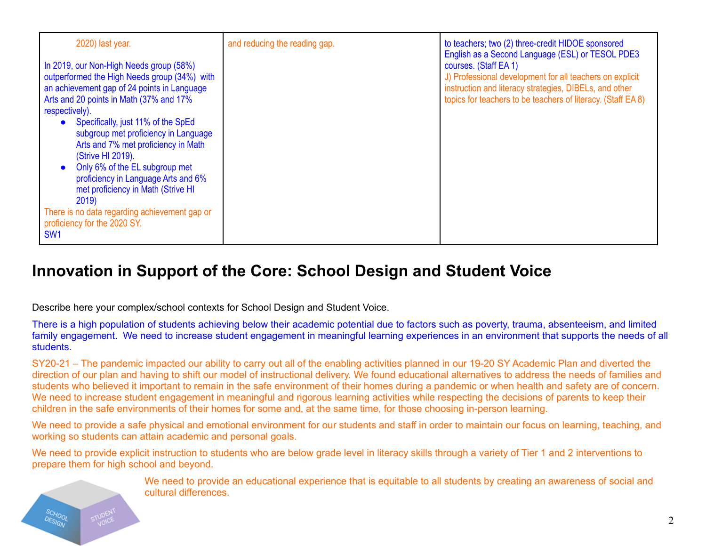| 2020) last year.                                                                                                                                                                                                                                                                                                                                                                                                                                                                                                                                       | and reducing the reading gap. | to teachers; two (2) three-credit HIDOE sponsored<br>English as a Second Language (ESL) or TESOL PDE3                                                                                                       |
|--------------------------------------------------------------------------------------------------------------------------------------------------------------------------------------------------------------------------------------------------------------------------------------------------------------------------------------------------------------------------------------------------------------------------------------------------------------------------------------------------------------------------------------------------------|-------------------------------|-------------------------------------------------------------------------------------------------------------------------------------------------------------------------------------------------------------|
| In 2019, our Non-High Needs group (58%)<br>outperformed the High Needs group (34%) with<br>an achievement gap of 24 points in Language<br>Arts and 20 points in Math (37% and 17%)<br>respectively).<br>Specifically, just 11% of the SpEd<br>subgroup met proficiency in Language<br>Arts and 7% met proficiency in Math<br>(Strive HI 2019).<br>Only 6% of the EL subgroup met<br>proficiency in Language Arts and 6%<br>met proficiency in Math (Strive HI<br>2019<br>There is no data regarding achievement gap or<br>proficiency for the 2020 SY. |                               | courses. (Staff EA 1)<br>J) Professional development for all teachers on explicit<br>instruction and literacy strategies, DIBELs, and other<br>topics for teachers to be teachers of literacy. (Staff EA 8) |
| SW <sub>1</sub>                                                                                                                                                                                                                                                                                                                                                                                                                                                                                                                                        |                               |                                                                                                                                                                                                             |

### **Innovation in Support of the Core: School Design and Student Voice**

Describe here your complex/school contexts for School Design and Student Voice.

There is a high population of students achieving below their academic potential due to factors such as poverty, trauma, absenteeism, and limited family engagement. We need to increase student engagement in meaningful learning experiences in an environment that supports the needs of all students.

SY20-21 – The pandemic impacted our ability to carry out all of the enabling activities planned in our 19-20 SY Academic Plan and diverted the direction of our plan and having to shift our model of instructional delivery. We found educational alternatives to address the needs of families and students who believed it important to remain in the safe environment of their homes during a pandemic or when health and safety are of concern. We need to increase student engagement in meaningful and rigorous learning activities while respecting the decisions of parents to keep their children in the safe environments of their homes for some and, at the same time, for those choosing in-person learning.

We need to provide a safe physical and emotional environment for our students and staff in order to maintain our focus on learning, teaching, and working so students can attain academic and personal goals.

We need to provide explicit instruction to students who are below grade level in literacy skills through a variety of Tier 1 and 2 interventions to prepare them for high school and beyond.

> We need to provide an educational experience that is equitable to all students by creating an awareness of social and cultural differences.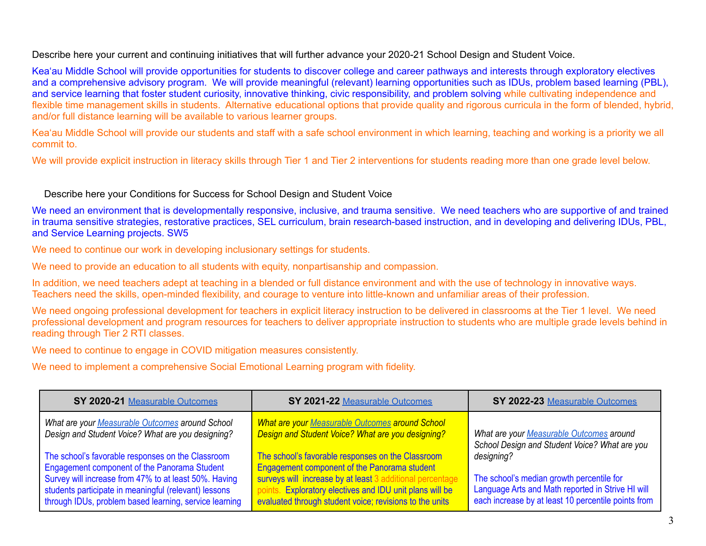Describe here your current and continuing initiatives that will further advance your 2020-21 School Design and Student Voice.

Keaʻau Middle School will provide opportunities for students to discover college and career pathways and interests through exploratory electives and a comprehensive advisory program. We will provide meaningful (relevant) learning opportunities such as IDUs, problem based learning (PBL), and service learning that foster student curiosity, innovative thinking, civic responsibility, and problem solving while cultivating independence and flexible time management skills in students. Alternative educational options that provide quality and rigorous curricula in the form of blended, hybrid, and/or full distance learning will be available to various learner groups.

Keaʻau Middle School will provide our students and staff with a safe school environment in which learning, teaching and working is a priority we all commit to.

We will provide explicit instruction in literacy skills through Tier 1 and Tier 2 interventions for students reading more than one grade level below.

#### Describe here your Conditions for Success for School Design and Student Voice

We need an environment that is developmentally responsive, inclusive, and trauma sensitive. We need teachers who are supportive of and trained in trauma sensitive strategies, restorative practices, SEL curriculum, brain research-based instruction, and in developing and delivering IDUs, PBL, and Service Learning projects. SW5

We need to continue our work in developing inclusionary settings for students.

We need to provide an education to all students with equity, nonpartisanship and compassion.

In addition, we need teachers adept at teaching in a blended or full distance environment and with the use of technology in innovative ways. Teachers need the skills, open-minded flexibility, and courage to venture into little-known and unfamiliar areas of their profession.

We need ongoing professional development for teachers in explicit literacy instruction to be delivered in classrooms at the Tier 1 level. We need professional development and program resources for teachers to deliver appropriate instruction to students who are multiple grade levels behind in reading through Tier 2 RTI classes.

We need to continue to engage in COVID mitigation measures consistently.

We need to implement a comprehensive Social Emotional Learning program with fidelity.

| SY 2020-21 Measurable Outcomes                                                                    | SY 2021-22 Measurable Outcomes                                                                    | SY 2022-23 Measurable Outcomes                      |
|---------------------------------------------------------------------------------------------------|---------------------------------------------------------------------------------------------------|-----------------------------------------------------|
| What are your Measurable Outcomes around School                                                   | <b>What are your Measurable Outcomes around School</b>                                            | What are your Measurable Outcomes around            |
| Design and Student Voice? What are you designing?                                                 | Design and Student Voice? What are you designing?                                                 | School Design and Student Voice? What are you       |
| The school's favorable responses on the Classroom<br>Engagement component of the Panorama Student | The school's favorable responses on the Classroom<br>Engagement component of the Panorama student | designing?                                          |
| Survey will increase from 47% to at least 50%. Having                                             | surveys will increase by at least 3 additional percentage                                         | The school's median growth percentile for           |
| students participate in meaningful (relevant) lessons                                             | Exploratory electives and IDU unit plans will be                                                  | Language Arts and Math reported in Strive HI will   |
| through IDUs, problem based learning, service learning                                            | evaluated through student voice; revisions to the units                                           | each increase by at least 10 percentile points from |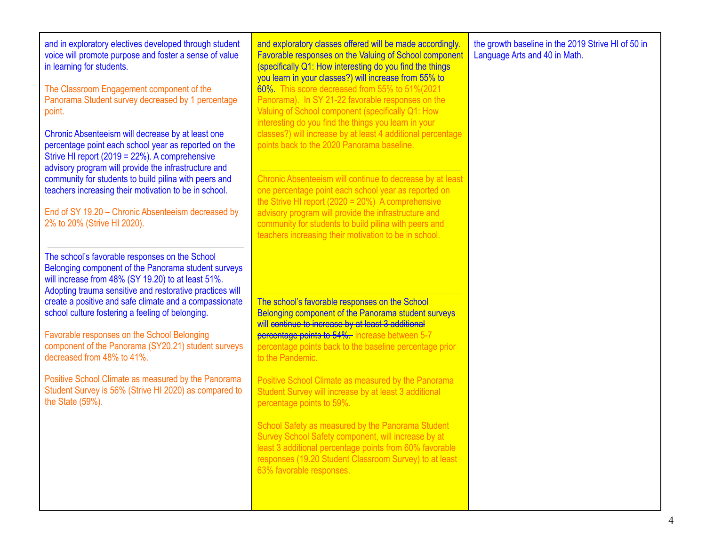| and in exploratory electives developed through student<br>voice will promote purpose and foster a sense of value<br>in learning for students.<br>The Classroom Engagement component of the<br>Panorama Student survey decreased by 1 percentage<br>point.<br>Chronic Absenteeism will decrease by at least one<br>percentage point each school year as reported on the<br>Strive HI report (2019 = 22%). A comprehensive<br>advisory program will provide the infrastructure and<br>community for students to build pilina with peers and<br>teachers increasing their motivation to be in school.<br>End of SY 19.20 - Chronic Absenteeism decreased by<br>2% to 20% (Strive HI 2020). | and exploratory classes offered will be made accordingly.<br>Favorable responses on the Valuing of School component<br>(specifically Q1: How interesting do you find the things<br>you learn in your classes?) will increase from 55% to<br>60%. This score decreased from 55% to 51%(2021<br>Panorama). In SY 21-22 favorable responses on the<br>Valuing of School component (specifically Q1: How<br>interesting do you find the things you learn in your<br>classes?) will increase by at least 4 additional percentage<br>points back to the 2020 Panorama baseline.<br>Chronic Absenteeism will continue to decrease by at least<br>one percentage point each school year as reported on<br>the Strive HI report (2020 = $20\%$ ) A comprehensive<br>advisory program will provide the infrastructure and<br>community for students to build pilina with peers and<br>teachers increasing their motivation to be in school. | the growth baseline in the 2019 Strive HI of 50 in<br>Language Arts and 40 in Math. |
|-----------------------------------------------------------------------------------------------------------------------------------------------------------------------------------------------------------------------------------------------------------------------------------------------------------------------------------------------------------------------------------------------------------------------------------------------------------------------------------------------------------------------------------------------------------------------------------------------------------------------------------------------------------------------------------------|-----------------------------------------------------------------------------------------------------------------------------------------------------------------------------------------------------------------------------------------------------------------------------------------------------------------------------------------------------------------------------------------------------------------------------------------------------------------------------------------------------------------------------------------------------------------------------------------------------------------------------------------------------------------------------------------------------------------------------------------------------------------------------------------------------------------------------------------------------------------------------------------------------------------------------------|-------------------------------------------------------------------------------------|
| The school's favorable responses on the School<br>Belonging component of the Panorama student surveys<br>will increase from 48% (SY 19.20) to at least 51%.<br>Adopting trauma sensitive and restorative practices will<br>create a positive and safe climate and a compassionate<br>school culture fostering a feeling of belonging.<br>Favorable responses on the School Belonging<br>component of the Panorama (SY20.21) student surveys<br>decreased from 48% to 41%.<br>Positive School Climate as measured by the Panorama<br>Student Survey is 56% (Strive HI 2020) as compared to<br>the State $(59\%)$ .                                                                       | The school's favorable responses on the School<br>Belonging component of the Panorama student surveys<br>will continue to increase by at least 3 additional<br>percentage points to 54%. increase between 5-7<br>percentage points back to the baseline percentage prior<br>to the Pandemic.<br>Positive School Climate as measured by the Panorama<br>Student Survey will increase by at least 3 additional<br>percentage points to 59%.<br>School Safety as measured by the Panorama Student<br>Survey School Safety component, will increase by at<br>least 3 additional percentage points from 60% favorable<br>responses (19.20 Student Classroom Survey) to at least<br>63% favorable responses.                                                                                                                                                                                                                            |                                                                                     |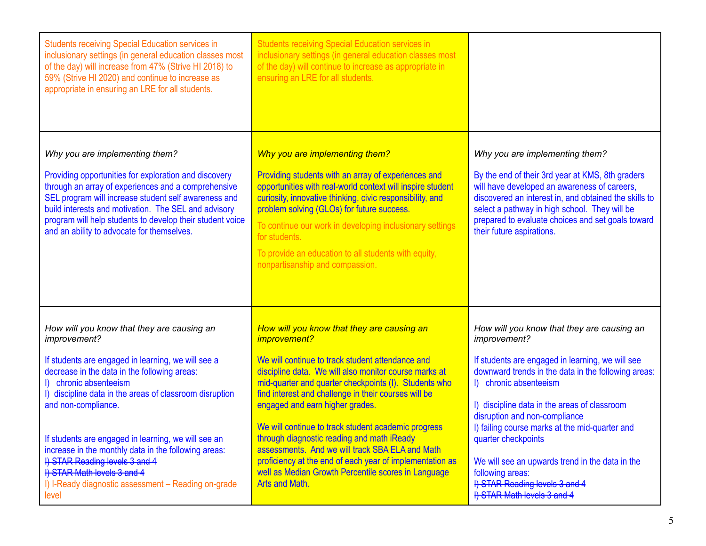| <b>Students receiving Special Education services in</b><br>inclusionary settings (in general education classes most<br>of the day) will increase from 47% (Strive HI 2018) to<br>59% (Strive HI 2020) and continue to increase as<br>appropriate in ensuring an LRE for all students.                                                                                     | <b>Students receiving Special Education services in</b><br>inclusionary settings (in general education classes most<br>of the day) will continue to increase as appropriate in<br>ensuring an LRE for all students.                                                                                                                                                                                                                    |                                                                                                                                                                                                                                                                                                                                |
|---------------------------------------------------------------------------------------------------------------------------------------------------------------------------------------------------------------------------------------------------------------------------------------------------------------------------------------------------------------------------|----------------------------------------------------------------------------------------------------------------------------------------------------------------------------------------------------------------------------------------------------------------------------------------------------------------------------------------------------------------------------------------------------------------------------------------|--------------------------------------------------------------------------------------------------------------------------------------------------------------------------------------------------------------------------------------------------------------------------------------------------------------------------------|
| Why you are implementing them?<br>Providing opportunities for exploration and discovery<br>through an array of experiences and a comprehensive<br>SEL program will increase student self awareness and<br>build interests and motivation. The SEL and advisory<br>program will help students to develop their student voice<br>and an ability to advocate for themselves. | Why you are implementing them?<br>Providing students with an array of experiences and<br>opportunities with real-world context will inspire student<br>curiosity, innovative thinking, civic responsibility, and<br>problem solving (GLOs) for future success.<br>To continue our work in developing inclusionary settings<br>for students.<br>To provide an education to all students with equity,<br>nonpartisanship and compassion. | Why you are implementing them?<br>By the end of their 3rd year at KMS, 8th graders<br>will have developed an awareness of careers,<br>discovered an interest in, and obtained the skills to<br>select a pathway in high school. They will be<br>prepared to evaluate choices and set goals toward<br>their future aspirations. |
| How will you know that they are causing an<br>improvement?                                                                                                                                                                                                                                                                                                                | How will you know that they are causing an<br>improvement?                                                                                                                                                                                                                                                                                                                                                                             | How will you know that they are causing an<br>improvement?                                                                                                                                                                                                                                                                     |
| If students are engaged in learning, we will see a<br>decrease in the data in the following areas:<br>I) chronic absenteeism<br>discipline data in the areas of classroom disruption<br>and non-compliance.<br>If students are engaged in learning, we will see an<br>increase in the monthly data in the following areas:                                                | We will continue to track student attendance and<br>discipline data. We will also monitor course marks at<br>mid-quarter and quarter checkpoints (I). Students who<br>find interest and challenge in their courses will be<br>engaged and earn higher grades.<br>We will continue to track student academic progress<br>through diagnostic reading and math iReady<br>assessments. And we will track SBA ELA and Math                  | If students are engaged in learning, we will see<br>downward trends in the data in the following areas:<br>I) chronic absenteeism<br>I) discipline data in the areas of classroom<br>disruption and non-compliance<br>I) failing course marks at the mid-quarter and<br>quarter checkpoints                                    |
| I) STAR Reading levels 3 and 4<br>I) STAR Math levels 3 and 4<br>I) I-Ready diagnostic assessment - Reading on-grade<br>level                                                                                                                                                                                                                                             | proficiency at the end of each year of implementation as<br>well as Median Growth Percentile scores in Language<br>Arts and Math.                                                                                                                                                                                                                                                                                                      | We will see an upwards trend in the data in the<br>following areas:<br>I) STAR Reading levels 3 and 4<br>I) STAR Math levels 3 and 4                                                                                                                                                                                           |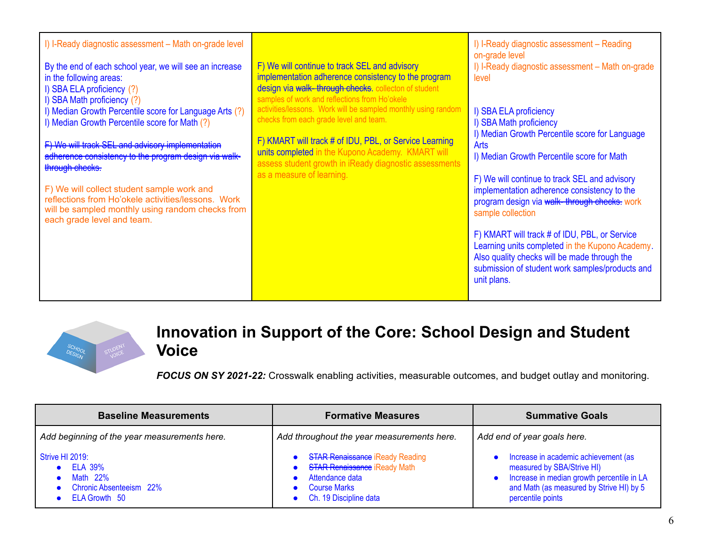| I) I-Ready diagnostic assessment - Math on-grade level<br>By the end of each school year, we will see an increase<br>in the following areas:<br>I) SBA ELA proficiency (?)<br>I) SBA Math proficiency (?)<br>I) Median Growth Percentile score for Language Arts (?)<br>I) Median Growth Percentile score for Math (?)<br>F) We will track SEL and advisory implementation<br>adherence consistency to the program design via walk-<br>through checks.<br>F) We will collect student sample work and<br>reflections from Ho'okele activities/lessons. Work<br>will be sampled monthly using random checks from<br>each grade level and team. | F) We will continue to track SEL and advisory<br>implementation adherence consistency to the program<br>design via walk-through checks. collecton of student<br>samples of work and reflections from Ho'okele<br>activities/lessons. Work will be sampled monthly using random<br>checks from each grade level and team.<br>F) KMART will track # of IDU, PBL, or Service Learning<br>units completed in the Kupono Academy. KMART will<br>assess student growth in iReady diagnostic assessments<br>as a measure of learning. | I) I-Ready diagnostic assessment - Reading<br>on-grade level<br>I) I-Ready diagnostic assessment - Math on-grade<br>level<br>I) SBA ELA proficiency<br>I) SBA Math proficiency<br>I) Median Growth Percentile score for Language<br><b>Arts</b><br>I) Median Growth Percentile score for Math<br>F) We will continue to track SEL and advisory<br>implementation adherence consistency to the<br>program design via walk-through checks. work<br>sample collection<br>F) KMART will track # of IDU, PBL, or Service<br>Learning units completed in the Kupono Academy.<br>Also quality checks will be made through the<br>submission of student work samples/products and<br>unit plans. |
|----------------------------------------------------------------------------------------------------------------------------------------------------------------------------------------------------------------------------------------------------------------------------------------------------------------------------------------------------------------------------------------------------------------------------------------------------------------------------------------------------------------------------------------------------------------------------------------------------------------------------------------------|--------------------------------------------------------------------------------------------------------------------------------------------------------------------------------------------------------------------------------------------------------------------------------------------------------------------------------------------------------------------------------------------------------------------------------------------------------------------------------------------------------------------------------|------------------------------------------------------------------------------------------------------------------------------------------------------------------------------------------------------------------------------------------------------------------------------------------------------------------------------------------------------------------------------------------------------------------------------------------------------------------------------------------------------------------------------------------------------------------------------------------------------------------------------------------------------------------------------------------|
|----------------------------------------------------------------------------------------------------------------------------------------------------------------------------------------------------------------------------------------------------------------------------------------------------------------------------------------------------------------------------------------------------------------------------------------------------------------------------------------------------------------------------------------------------------------------------------------------------------------------------------------------|--------------------------------------------------------------------------------------------------------------------------------------------------------------------------------------------------------------------------------------------------------------------------------------------------------------------------------------------------------------------------------------------------------------------------------------------------------------------------------------------------------------------------------|------------------------------------------------------------------------------------------------------------------------------------------------------------------------------------------------------------------------------------------------------------------------------------------------------------------------------------------------------------------------------------------------------------------------------------------------------------------------------------------------------------------------------------------------------------------------------------------------------------------------------------------------------------------------------------------|



### **Innovation in Support of the Core: School Design and Student Voice**

*FOCUS ON SY 2021-22:* Crosswalk enabling activities, measurable outcomes, and budget outlay and monitoring.

| <b>Baseline Measurements</b>                                                                | <b>Formative Measures</b>                                                                                                                        | <b>Summative Goals</b>                                                                                                                                                            |  |
|---------------------------------------------------------------------------------------------|--------------------------------------------------------------------------------------------------------------------------------------------------|-----------------------------------------------------------------------------------------------------------------------------------------------------------------------------------|--|
| Add beginning of the year measurements here.                                                | Add throughout the year measurements here.                                                                                                       | Add end of year goals here.                                                                                                                                                       |  |
| Strive HI 2019:<br><b>ELA 39%</b><br>Math 22%<br>• Chronic Absenteeism 22%<br>ELA Growth 50 | <b>STAR Renaissance iReady Reading</b><br>• STAR Renaissance iReady Math<br>• Attendance data<br><b>Course Marks</b><br>• Ch. 19 Discipline data | Increase in academic achievement (as<br>measured by SBA/Strive HI)<br>Increase in median growth percentile in LA<br>and Math (as measured by Strive HI) by 5<br>percentile points |  |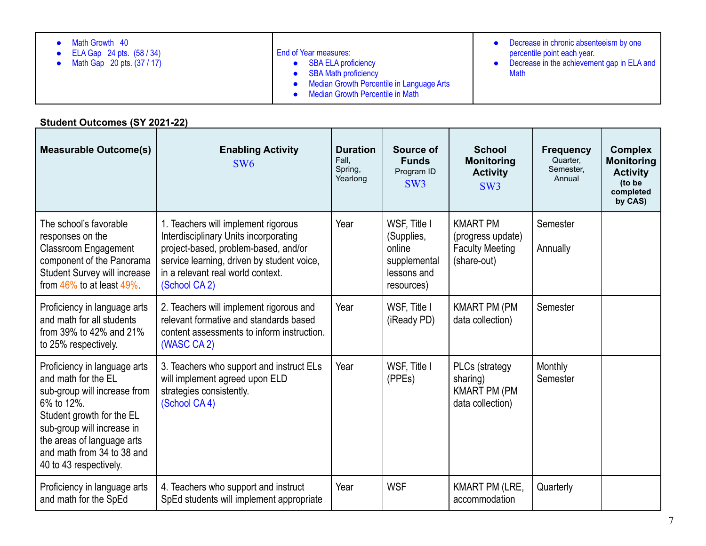| Math Growth 40<br>ELA Gap 24 pts. (58 / 34)<br>Math Gap 20 pts. (37 / 17) | <b>End of Year measures:</b><br><b>SBA ELA proficiency</b><br><b>SBA Math proficiency</b><br>Median Growth Percentile in Language Arts<br>Median Growth Percentile in Math | Decrease in chronic absenteeism by one<br>percentile point each year.<br>Decrease in the achievement gap in ELA and<br><b>Math</b> |
|---------------------------------------------------------------------------|----------------------------------------------------------------------------------------------------------------------------------------------------------------------------|------------------------------------------------------------------------------------------------------------------------------------|
|---------------------------------------------------------------------------|----------------------------------------------------------------------------------------------------------------------------------------------------------------------------|------------------------------------------------------------------------------------------------------------------------------------|

### **Student Outcomes (SY 2021-22)**

| <b>Measurable Outcome(s)</b>                                                                                                                                                                                                                       | <b>Enabling Activity</b><br>SW <sub>6</sub>                                                                                                                                                                              | <b>Duration</b><br>Fall,<br>Spring,<br>Yearlong | Source of<br><b>Funds</b><br>Program ID<br>SW <sub>3</sub>                        | <b>School</b><br><b>Monitoring</b><br><b>Activity</b><br>SW <sub>3</sub>      | <b>Frequency</b><br>Quarter,<br>Semester,<br>Annual | <b>Complex</b><br><b>Monitoring</b><br><b>Activity</b><br>(to be<br>completed<br>by CAS) |
|----------------------------------------------------------------------------------------------------------------------------------------------------------------------------------------------------------------------------------------------------|--------------------------------------------------------------------------------------------------------------------------------------------------------------------------------------------------------------------------|-------------------------------------------------|-----------------------------------------------------------------------------------|-------------------------------------------------------------------------------|-----------------------------------------------------|------------------------------------------------------------------------------------------|
| The school's favorable<br>responses on the<br><b>Classroom Engagement</b><br>component of the Panorama<br>Student Survey will increase<br>from $46\%$ to at least $49\%$ .                                                                         | 1. Teachers will implement rigorous<br>Interdisciplinary Units incorporating<br>project-based, problem-based, and/or<br>service learning, driven by student voice,<br>in a relevant real world context.<br>(School CA 2) | Year                                            | WSF, Title I<br>(Supplies,<br>online<br>supplemental<br>lessons and<br>resources) | <b>KMART PM</b><br>(progress update)<br><b>Faculty Meeting</b><br>(share-out) | Semester<br>Annually                                |                                                                                          |
| Proficiency in language arts<br>and math for all students<br>from 39% to 42% and 21%<br>to 25% respectively.                                                                                                                                       | 2. Teachers will implement rigorous and<br>relevant formative and standards based<br>content assessments to inform instruction.<br>(WASC CA 2)                                                                           | Year                                            | WSF, Title I<br>(iReady PD)                                                       | <b>KMART PM (PM</b><br>data collection)                                       | Semester                                            |                                                                                          |
| Proficiency in language arts<br>and math for the EL<br>sub-group will increase from<br>6% to 12%.<br>Student growth for the EL<br>sub-group will increase in<br>the areas of language arts<br>and math from 34 to 38 and<br>40 to 43 respectively. | 3. Teachers who support and instruct ELs<br>will implement agreed upon ELD<br>strategies consistently.<br>(School CA4)                                                                                                   | Year                                            | WSF, Title I<br>(PPEs)                                                            | PLCs (strategy<br>sharing)<br><b>KMART PM (PM</b><br>data collection)         | Monthly<br>Semester                                 |                                                                                          |
| Proficiency in language arts<br>and math for the SpEd                                                                                                                                                                                              | 4. Teachers who support and instruct<br>SpEd students will implement appropriate                                                                                                                                         | Year                                            | <b>WSF</b>                                                                        | KMART PM (LRE,<br>accommodation                                               | Quarterly                                           |                                                                                          |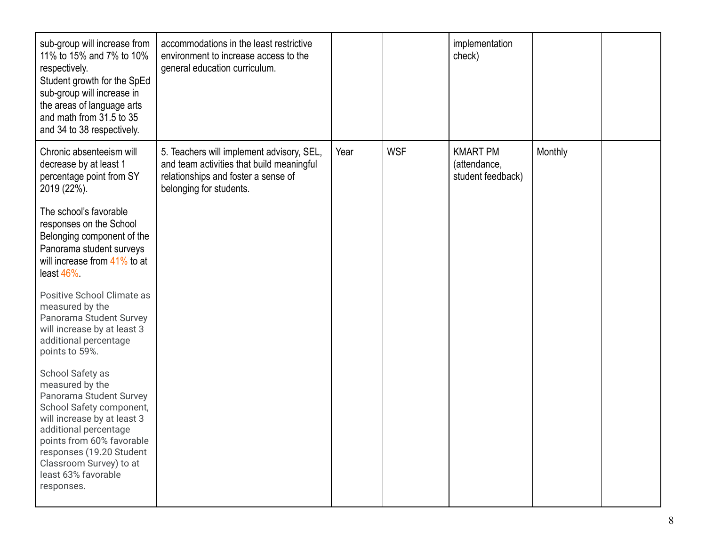| sub-group will increase from<br>11% to 15% and 7% to 10%<br>respectively.<br>Student growth for the SpEd<br>sub-group will increase in<br>the areas of language arts<br>and math from 31.5 to 35<br>and 34 to 38 respectively.                                              | accommodations in the least restrictive<br>environment to increase access to the<br>general education curriculum.                                        |      |            | implementation<br>check)                             |         |  |
|-----------------------------------------------------------------------------------------------------------------------------------------------------------------------------------------------------------------------------------------------------------------------------|----------------------------------------------------------------------------------------------------------------------------------------------------------|------|------------|------------------------------------------------------|---------|--|
| Chronic absenteeism will<br>decrease by at least 1<br>percentage point from SY<br>2019 (22%).                                                                                                                                                                               | 5. Teachers will implement advisory, SEL,<br>and team activities that build meaningful<br>relationships and foster a sense of<br>belonging for students. | Year | <b>WSF</b> | <b>KMART PM</b><br>(attendance,<br>student feedback) | Monthly |  |
| The school's favorable<br>responses on the School<br>Belonging component of the<br>Panorama student surveys<br>will increase from 41% to at<br>least 46%.                                                                                                                   |                                                                                                                                                          |      |            |                                                      |         |  |
| Positive School Climate as<br>measured by the<br>Panorama Student Survey<br>will increase by at least 3<br>additional percentage<br>points to 59%.                                                                                                                          |                                                                                                                                                          |      |            |                                                      |         |  |
| School Safety as<br>measured by the<br>Panorama Student Survey<br>School Safety component,<br>will increase by at least 3<br>additional percentage<br>points from 60% favorable<br>responses (19.20 Student<br>Classroom Survey) to at<br>least 63% favorable<br>responses. |                                                                                                                                                          |      |            |                                                      |         |  |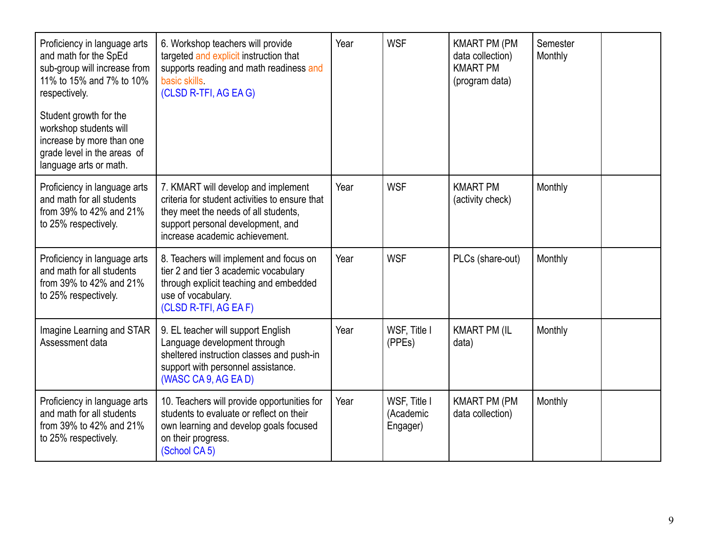| Proficiency in language arts<br>and math for the SpEd<br>sub-group will increase from<br>11% to 15% and 7% to 10%<br>respectively.     | 6. Workshop teachers will provide<br>targeted and explicit instruction that<br>supports reading and math readiness and<br>basic skills.<br>(CLSD R-TFI, AG EA G)                                     | Year | <b>WSF</b>                            | <b>KMART PM (PM</b><br>data collection)<br><b>KMART PM</b><br>(program data) | Semester<br>Monthly |  |
|----------------------------------------------------------------------------------------------------------------------------------------|------------------------------------------------------------------------------------------------------------------------------------------------------------------------------------------------------|------|---------------------------------------|------------------------------------------------------------------------------|---------------------|--|
| Student growth for the<br>workshop students will<br>increase by more than one<br>grade level in the areas of<br>language arts or math. |                                                                                                                                                                                                      |      |                                       |                                                                              |                     |  |
| Proficiency in language arts<br>and math for all students<br>from 39% to 42% and 21%<br>to 25% respectively.                           | 7. KMART will develop and implement<br>criteria for student activities to ensure that<br>they meet the needs of all students,<br>support personal development, and<br>increase academic achievement. | Year | <b>WSF</b>                            | <b>KMART PM</b><br>(activity check)                                          | Monthly             |  |
| Proficiency in language arts<br>and math for all students<br>from 39% to 42% and 21%<br>to 25% respectively.                           | 8. Teachers will implement and focus on<br>tier 2 and tier 3 academic vocabulary<br>through explicit teaching and embedded<br>use of vocabulary.<br>(CLSD R-TFI, AG EA F)                            | Year | <b>WSF</b>                            | PLCs (share-out)                                                             | Monthly             |  |
| Imagine Learning and STAR<br>Assessment data                                                                                           | 9. EL teacher will support English<br>Language development through<br>sheltered instruction classes and push-in<br>support with personnel assistance.<br>(WASC CA 9, AG EA D)                        | Year | WSF, Title I<br>(PPEs)                | <b>KMART PM (IL</b><br>data)                                                 | Monthly             |  |
| Proficiency in language arts<br>and math for all students<br>from 39% to 42% and 21%<br>to 25% respectively.                           | 10. Teachers will provide opportunities for<br>students to evaluate or reflect on their<br>own learning and develop goals focused<br>on their progress.<br>(School CA 5)                             | Year | WSF, Title I<br>(Academic<br>Engager) | <b>KMART PM (PM</b><br>data collection)                                      | Monthly             |  |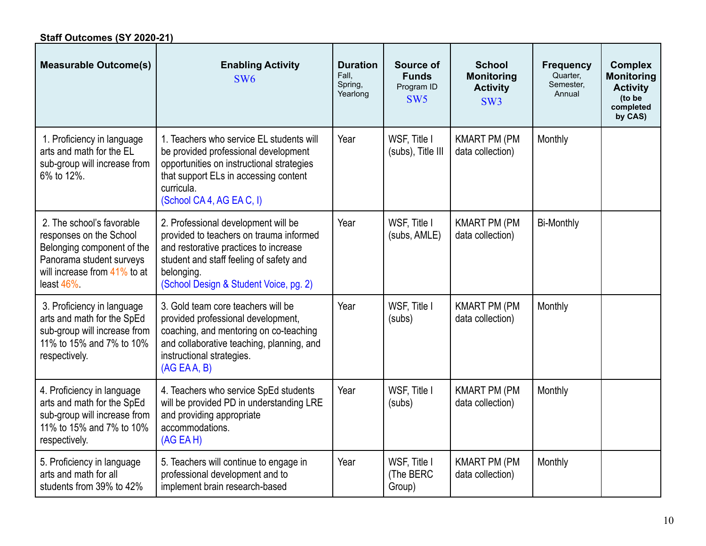| Staff Outcomes (SY 2020-21)                                                                                                                                      |                                                                                                                                                                                                                            |                                                 |                                                            |                                                                          |                                                     |                                                                                          |
|------------------------------------------------------------------------------------------------------------------------------------------------------------------|----------------------------------------------------------------------------------------------------------------------------------------------------------------------------------------------------------------------------|-------------------------------------------------|------------------------------------------------------------|--------------------------------------------------------------------------|-----------------------------------------------------|------------------------------------------------------------------------------------------|
| <b>Measurable Outcome(s)</b>                                                                                                                                     | <b>Enabling Activity</b><br>SW <sub>6</sub>                                                                                                                                                                                | <b>Duration</b><br>Fall.<br>Spring,<br>Yearlong | Source of<br><b>Funds</b><br>Program ID<br>SW <sub>5</sub> | <b>School</b><br><b>Monitoring</b><br><b>Activity</b><br>SW <sub>3</sub> | <b>Frequency</b><br>Quarter,<br>Semester,<br>Annual | <b>Complex</b><br><b>Monitoring</b><br><b>Activity</b><br>(to be<br>completed<br>by CAS) |
| 1. Proficiency in language<br>arts and math for the EL<br>sub-group will increase from<br>6% to 12%.                                                             | 1. Teachers who service EL students will<br>be provided professional development<br>opportunities on instructional strategies<br>that support ELs in accessing content<br>curricula.<br>(School CA 4, AG EA C, I)          | Year                                            | WSF, Title I<br>(subs), Title III                          | <b>KMART PM (PM</b><br>data collection)                                  | Monthly                                             |                                                                                          |
| 2. The school's favorable<br>responses on the School<br>Belonging component of the<br>Panorama student surveys<br>will increase from 41% to at<br>least $46\%$ . | 2. Professional development will be<br>provided to teachers on trauma informed<br>and restorative practices to increase<br>student and staff feeling of safety and<br>belonging.<br>(School Design & Student Voice, pg. 2) | Year                                            | WSF, Title I<br>(subs, AMLE)                               | <b>KMART PM (PM</b><br>data collection)                                  | <b>Bi-Monthly</b>                                   |                                                                                          |
| 3. Proficiency in language<br>arts and math for the SpEd<br>sub-group will increase from<br>11% to 15% and 7% to 10%<br>respectively.                            | 3. Gold team core teachers will be<br>provided professional development,<br>coaching, and mentoring on co-teaching<br>and collaborative teaching, planning, and<br>instructional strategies.<br>(AG EAA, B)                | Year                                            | WSF, Title I<br>(subs)                                     | <b>KMART PM (PM</b><br>data collection)                                  | Monthly                                             |                                                                                          |
| 4. Proficiency in language<br>arts and math for the SpEd<br>sub-group will increase from<br>11% to 15% and 7% to 10%<br>respectively.                            | 4. Teachers who service SpEd students<br>will be provided PD in understanding LRE<br>and providing appropriate<br>accommodations.<br>(AG EA H)                                                                             | Year                                            | WSF, Title I<br>(subs)                                     | <b>KMART PM (PM</b><br>data collection)                                  | Monthly                                             |                                                                                          |
| 5. Proficiency in language<br>arts and math for all<br>students from 39% to 42%                                                                                  | 5. Teachers will continue to engage in<br>professional development and to<br>implement brain research-based                                                                                                                | Year                                            | WSF, Title I<br>(The BERC<br>Group)                        | <b>KMART PM (PM</b><br>data collection)                                  | Monthly                                             |                                                                                          |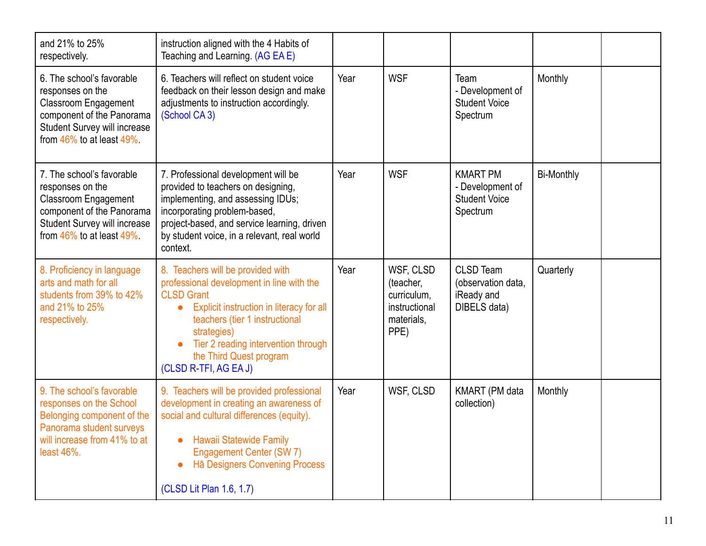| and 21% to 25%<br>respectively.                                                                                                                                               | instruction aligned with the 4 Habits of<br>Teaching and Learning. (AG EA E)                                                                                                                                                                                                                                          |      |                                                                              |                                                                         |                   |  |
|-------------------------------------------------------------------------------------------------------------------------------------------------------------------------------|-----------------------------------------------------------------------------------------------------------------------------------------------------------------------------------------------------------------------------------------------------------------------------------------------------------------------|------|------------------------------------------------------------------------------|-------------------------------------------------------------------------|-------------------|--|
| 6. The school's favorable<br>responses on the<br><b>Classroom Engagement</b><br>component of the Panorama<br>Student Survey will increase<br>from $46\%$ to at least $49\%$ . | 6. Teachers will reflect on student voice<br>feedback on their lesson design and make<br>adjustments to instruction accordingly.<br>(School CA 3)                                                                                                                                                                     | Year | <b>WSF</b>                                                                   | Team<br>- Development of<br><b>Student Voice</b><br>Spectrum            | Monthly           |  |
| 7. The school's favorable<br>responses on the<br><b>Classroom Engagement</b><br>component of the Panorama<br>Student Survey will increase<br>from $46\%$ to at least $49\%$ . | 7. Professional development will be<br>provided to teachers on designing,<br>implementing, and assessing IDUs;<br>incorporating problem-based,<br>project-based, and service learning, driven<br>by student voice, in a relevant, real world<br>context.                                                              | Year | <b>WSF</b>                                                                   | <b>KMART PM</b><br>- Development of<br><b>Student Voice</b><br>Spectrum | <b>Bi-Monthly</b> |  |
| 8. Proficiency in language<br>arts and math for all<br>students from 39% to 42%<br>and 21% to 25%<br>respectively.                                                            | 8. Teachers will be provided with<br>professional development in line with the<br><b>CLSD Grant</b><br>Explicit instruction in literacy for all<br>$\bullet$<br>teachers (tier 1 instructional<br>strategies)<br>Tier 2 reading intervention through<br>$\bullet$<br>the Third Quest program<br>(CLSD R-TFI, AG EA J) | Year | WSF, CLSD<br>(teacher,<br>curriculum,<br>instructional<br>materials,<br>PPE) | <b>CLSD Team</b><br>(observation data,<br>iReady and<br>DIBELS data)    | Quarterly         |  |
| 9. The school's favorable<br>responses on the School<br>Belonging component of the<br>Panorama student surveys<br>will increase from 41% to at<br>least 46%.                  | 9. Teachers will be provided professional<br>development in creating an awareness of<br>social and cultural differences (equity).<br><b>Hawaii Statewide Family</b><br><b>Engagement Center (SW 7)</b><br>Hā Designers Convening Process<br>(CLSD Lit Plan 1.6, 1.7)                                                  | Year | WSF, CLSD                                                                    | KMART (PM data<br>collection)                                           | Monthly           |  |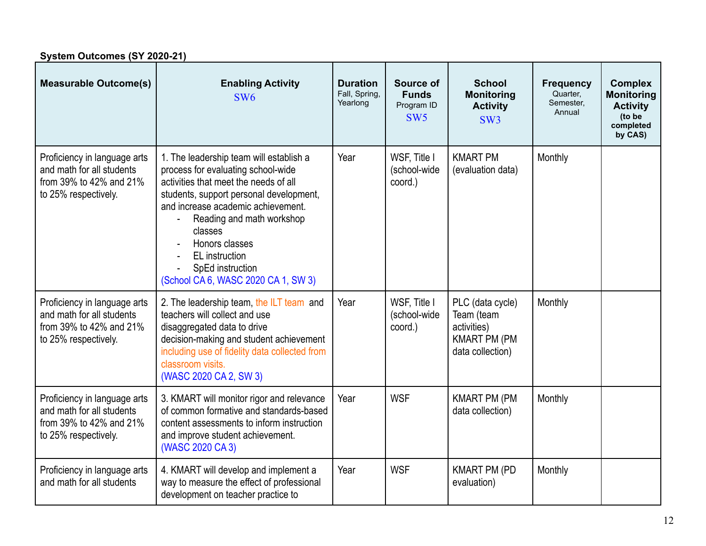| System Outcomes (SY 2020-21)                                                                                 |                                                                                                                                                                                                                                                                                                                                                |                                              |                                                            |                                                                                          |                                                     |                                                                                          |
|--------------------------------------------------------------------------------------------------------------|------------------------------------------------------------------------------------------------------------------------------------------------------------------------------------------------------------------------------------------------------------------------------------------------------------------------------------------------|----------------------------------------------|------------------------------------------------------------|------------------------------------------------------------------------------------------|-----------------------------------------------------|------------------------------------------------------------------------------------------|
| <b>Measurable Outcome(s)</b>                                                                                 | <b>Enabling Activity</b><br>SW <sub>6</sub>                                                                                                                                                                                                                                                                                                    | <b>Duration</b><br>Fall, Spring,<br>Yearlong | Source of<br><b>Funds</b><br>Program ID<br>SW <sub>5</sub> | <b>School</b><br><b>Monitoring</b><br><b>Activity</b><br>SW <sub>3</sub>                 | <b>Frequency</b><br>Quarter,<br>Semester,<br>Annual | <b>Complex</b><br><b>Monitoring</b><br><b>Activity</b><br>(to be<br>completed<br>by CAS) |
| Proficiency in language arts<br>and math for all students<br>from 39% to 42% and 21%<br>to 25% respectively. | 1. The leadership team will establish a<br>process for evaluating school-wide<br>activities that meet the needs of all<br>students, support personal development,<br>and increase academic achievement.<br>Reading and math workshop<br>classes<br>Honors classes<br>EL instruction<br>SpEd instruction<br>(School CA 6, WASC 2020 CA 1, SW 3) | Year                                         | WSF, Title I<br>(school-wide<br>coord.)                    | <b>KMART PM</b><br>(evaluation data)                                                     | Monthly                                             |                                                                                          |
| Proficiency in language arts<br>and math for all students<br>from 39% to 42% and 21%<br>to 25% respectively. | 2. The leadership team, the ILT team and<br>teachers will collect and use<br>disaggregated data to drive<br>decision-making and student achievement<br>including use of fidelity data collected from<br>classroom visits.<br>(WASC 2020 CA 2, SW 3)                                                                                            | Year                                         | WSF, Title I<br>(school-wide<br>coord.)                    | PLC (data cycle)<br>Team (team<br>activities)<br><b>KMART PM (PM</b><br>data collection) | Monthly                                             |                                                                                          |
| Proficiency in language arts<br>and math for all students<br>from 39% to 42% and 21%<br>to 25% respectively. | 3. KMART will monitor rigor and relevance<br>of common formative and standards-based<br>content assessments to inform instruction<br>and improve student achievement.<br>(WASC 2020 CA 3)                                                                                                                                                      | Year                                         | <b>WSF</b>                                                 | <b>KMART PM (PM</b><br>data collection)                                                  | Monthly                                             |                                                                                          |
| Proficiency in language arts<br>and math for all students                                                    | 4. KMART will develop and implement a<br>way to measure the effect of professional<br>development on teacher practice to                                                                                                                                                                                                                       | Year                                         | <b>WSF</b>                                                 | <b>KMART PM (PD</b><br>evaluation)                                                       | Monthly                                             |                                                                                          |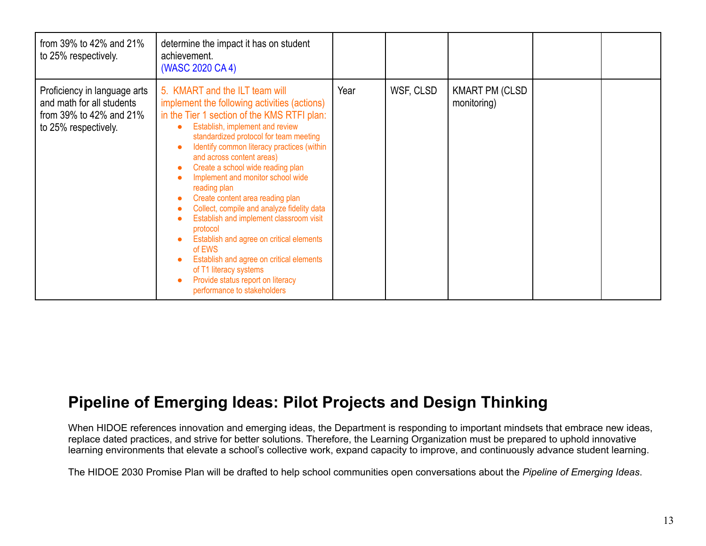| from 39% to 42% and 21%<br>to 25% respectively.                                                              | determine the impact it has on student<br>achievement.<br>(WASC 2020 CA 4)                                                                                                                                                                                                                                                                                                                                                                                                                                                                                                                                                                                                                                                                         |      |           |                                       |  |
|--------------------------------------------------------------------------------------------------------------|----------------------------------------------------------------------------------------------------------------------------------------------------------------------------------------------------------------------------------------------------------------------------------------------------------------------------------------------------------------------------------------------------------------------------------------------------------------------------------------------------------------------------------------------------------------------------------------------------------------------------------------------------------------------------------------------------------------------------------------------------|------|-----------|---------------------------------------|--|
| Proficiency in language arts<br>and math for all students<br>from 39% to 42% and 21%<br>to 25% respectively. | 5. KMART and the ILT team will<br>implement the following activities (actions)<br>in the Tier 1 section of the KMS RTFI plan:<br>Establish, implement and review<br>$\bullet$<br>standardized protocol for team meeting<br>Identify common literacy practices (within<br>and across content areas)<br>Create a school wide reading plan<br>Implement and monitor school wide<br>reading plan<br>Create content area reading plan<br>Collect, compile and analyze fidelity data<br>Establish and implement classroom visit<br>$\bullet$<br>protocol<br>Establish and agree on critical elements<br>of EWS<br>Establish and agree on critical elements<br>of T1 literacy systems<br>Provide status report on literacy<br>performance to stakeholders | Year | WSF, CLSD | <b>KMART PM (CLSD)</b><br>monitoring) |  |

## **Pipeline of Emerging Ideas: Pilot Projects and Design Thinking**

When HIDOE references innovation and emerging ideas, the Department is responding to important mindsets that embrace new ideas, replace dated practices, and strive for better solutions. Therefore, the Learning Organization must be prepared to uphold innovative learning environments that elevate a school's collective work, expand capacity to improve, and continuously advance student learning.

The HIDOE 2030 Promise Plan will be drafted to help school communities open conversations about the *Pipeline of Emerging Ideas*.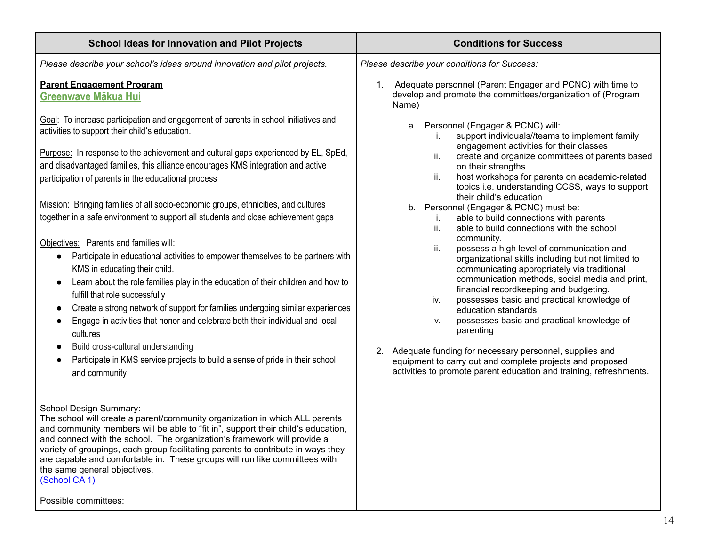| <b>School Ideas for Innovation and Pilot Projects</b>                                                                                                                                                                                                                                                                                                                                                                                                                                                            | <b>Conditions for Success</b>                                                                                                                                                                                                                                                                                                              |  |  |
|------------------------------------------------------------------------------------------------------------------------------------------------------------------------------------------------------------------------------------------------------------------------------------------------------------------------------------------------------------------------------------------------------------------------------------------------------------------------------------------------------------------|--------------------------------------------------------------------------------------------------------------------------------------------------------------------------------------------------------------------------------------------------------------------------------------------------------------------------------------------|--|--|
| Please describe your school's ideas around innovation and pilot projects.                                                                                                                                                                                                                                                                                                                                                                                                                                        | Please describe your conditions for Success:                                                                                                                                                                                                                                                                                               |  |  |
| <b>Parent Engagement Program</b><br>Greenwave Mākua Hui                                                                                                                                                                                                                                                                                                                                                                                                                                                          | Adequate personnel (Parent Engager and PCNC) with time to<br>1.<br>develop and promote the committees/organization of (Program<br>Name)                                                                                                                                                                                                    |  |  |
| Goal: To increase participation and engagement of parents in school initiatives and<br>activities to support their child's education.<br>Purpose: In response to the achievement and cultural gaps experienced by EL, SpEd,<br>and disadvantaged families, this alliance encourages KMS integration and active                                                                                                                                                                                                   | a. Personnel (Engager & PCNC) will:<br>support individuals//teams to implement family<br>Ť.<br>engagement activities for their classes<br>create and organize committees of parents based<br>ii.<br>on their strengths                                                                                                                     |  |  |
| participation of parents in the educational process                                                                                                                                                                                                                                                                                                                                                                                                                                                              | host workshops for parents on academic-related<br>iii.<br>topics i.e. understanding CCSS, ways to support                                                                                                                                                                                                                                  |  |  |
| Mission: Bringing families of all socio-economic groups, ethnicities, and cultures<br>together in a safe environment to support all students and close achievement gaps<br>Objectives: Parents and families will:                                                                                                                                                                                                                                                                                                | their child's education<br>b. Personnel (Engager & PCNC) must be:<br>able to build connections with parents<br>i.<br>ii.<br>able to build connections with the school<br>community.<br>iii.<br>possess a high level of communication and                                                                                                   |  |  |
| Participate in educational activities to empower themselves to be partners with<br>$\bullet$<br>KMS in educating their child.<br>Learn about the role families play in the education of their children and how to<br>fulfill that role successfully<br>Create a strong network of support for families undergoing similar experiences<br>Engage in activities that honor and celebrate both their individual and local<br>cultures                                                                               | organizational skills including but not limited to<br>communicating appropriately via traditional<br>communication methods, social media and print,<br>financial recordkeeping and budgeting.<br>possesses basic and practical knowledge of<br>iv.<br>education standards<br>possesses basic and practical knowledge of<br>V.<br>parenting |  |  |
| Build cross-cultural understanding<br>Participate in KMS service projects to build a sense of pride in their school<br>and community                                                                                                                                                                                                                                                                                                                                                                             | Adequate funding for necessary personnel, supplies and<br>2.<br>equipment to carry out and complete projects and proposed<br>activities to promote parent education and training, refreshments.                                                                                                                                            |  |  |
| School Design Summary:<br>The school will create a parent/community organization in which ALL parents<br>and community members will be able to "fit in", support their child's education,<br>and connect with the school. The organization's framework will provide a<br>variety of groupings, each group facilitating parents to contribute in ways they<br>are capable and comfortable in. These groups will run like committees with<br>the same general objectives.<br>(School CA 1)<br>Possible committees: |                                                                                                                                                                                                                                                                                                                                            |  |  |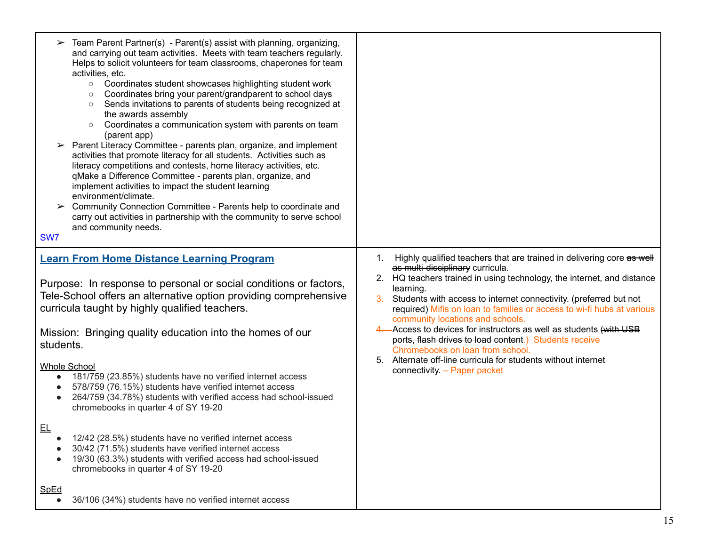| SW <sub>7</sub>                                            | $\triangleright$ Team Parent Partner(s) - Parent(s) assist with planning, organizing,<br>and carrying out team activities. Meets with team teachers regularly.<br>Helps to solicit volunteers for team classrooms, chaperones for team<br>activities, etc.<br>○ Coordinates student showcases highlighting student work<br>Coordinates bring your parent/grandparent to school days<br>$\circ$<br>Sends invitations to parents of students being recognized at<br>$\circ$<br>the awards assembly<br>Coordinates a communication system with parents on team<br>$\circ$<br>(parent app)<br>Parent Literacy Committee - parents plan, organize, and implement<br>activities that promote literacy for all students. Activities such as<br>literacy competitions and contests, home literacy activities, etc.<br>qMake a Difference Committee - parents plan, organize, and<br>implement activities to impact the student learning<br>environment/climate.<br>Community Connection Committee - Parents help to coordinate and<br>carry out activities in partnership with the community to serve school<br>and community needs. |                                                                                                                                                                                                                                                                                                                                                                                                                                                                                                                                                                                                                                                                 |
|------------------------------------------------------------|------------------------------------------------------------------------------------------------------------------------------------------------------------------------------------------------------------------------------------------------------------------------------------------------------------------------------------------------------------------------------------------------------------------------------------------------------------------------------------------------------------------------------------------------------------------------------------------------------------------------------------------------------------------------------------------------------------------------------------------------------------------------------------------------------------------------------------------------------------------------------------------------------------------------------------------------------------------------------------------------------------------------------------------------------------------------------------------------------------------------------|-----------------------------------------------------------------------------------------------------------------------------------------------------------------------------------------------------------------------------------------------------------------------------------------------------------------------------------------------------------------------------------------------------------------------------------------------------------------------------------------------------------------------------------------------------------------------------------------------------------------------------------------------------------------|
| students.<br><b>Whole School</b><br>$\bullet$<br>$\bullet$ | <b>Learn From Home Distance Learning Program</b><br>Purpose: In response to personal or social conditions or factors,<br>Tele-School offers an alternative option providing comprehensive<br>curricula taught by highly qualified teachers.<br>Mission: Bringing quality education into the homes of our<br>181/759 (23.85%) students have no verified internet access<br>578/759 (76.15%) students have verified internet access<br>264/759 (34.78%) students with verified access had school-issued<br>chromebooks in quarter 4 of SY 19-20                                                                                                                                                                                                                                                                                                                                                                                                                                                                                                                                                                                | Highly qualified teachers that are trained in delivering core as well<br>1.<br>as multi-disciplinary curricula.<br>2. HQ teachers trained in using technology, the internet, and distance<br>learning.<br>3. Students with access to internet connectivity. (preferred but not<br>required) Mifis on loan to families or access to wi-fi hubs at various<br>community locations and schools.<br>-Access to devices for instructors as well as students (with USB<br>ports, flash drives to load content.) Students receive<br>Chromebooks on loan from school.<br>5. Alternate off-line curricula for students without internet<br>connectivity. - Paper packet |
| 트<br><b>SpEd</b><br>$\bullet$                              | 12/42 (28.5%) students have no verified internet access<br>30/42 (71.5%) students have verified internet access<br>19/30 (63.3%) students with verified access had school-issued<br>chromebooks in quarter 4 of SY 19-20<br>36/106 (34%) students have no verified internet access                                                                                                                                                                                                                                                                                                                                                                                                                                                                                                                                                                                                                                                                                                                                                                                                                                           |                                                                                                                                                                                                                                                                                                                                                                                                                                                                                                                                                                                                                                                                 |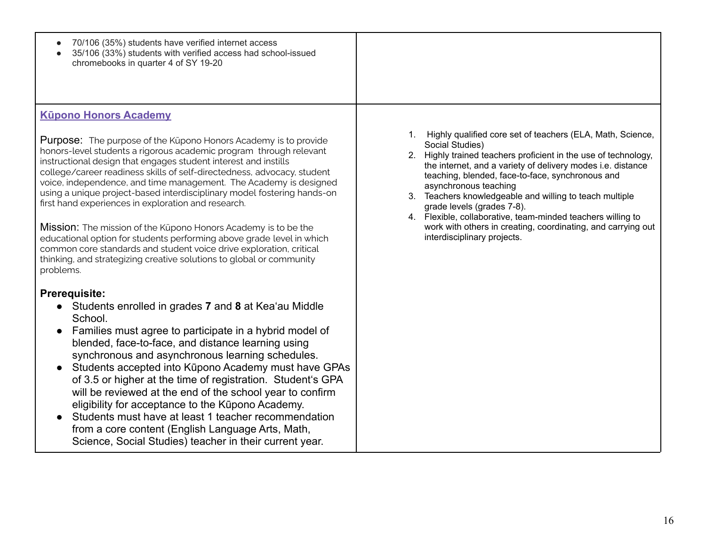| 70/106 (35%) students have verified internet access<br>35/106 (33%) students with verified access had school-issued<br>chromebooks in quarter 4 of SY 19-20                                                                                                                                                                                                                                                                                                                                                                                                                                                                                                                                                                                                                                                                                                                                                                                                                                                                                                                                                                                                                                                                                                                                                                                                                                                                                                                                                                 |                                                                                                                                                                                                                                                                                                                                                                                                                                                                                                                                                           |
|-----------------------------------------------------------------------------------------------------------------------------------------------------------------------------------------------------------------------------------------------------------------------------------------------------------------------------------------------------------------------------------------------------------------------------------------------------------------------------------------------------------------------------------------------------------------------------------------------------------------------------------------------------------------------------------------------------------------------------------------------------------------------------------------------------------------------------------------------------------------------------------------------------------------------------------------------------------------------------------------------------------------------------------------------------------------------------------------------------------------------------------------------------------------------------------------------------------------------------------------------------------------------------------------------------------------------------------------------------------------------------------------------------------------------------------------------------------------------------------------------------------------------------|-----------------------------------------------------------------------------------------------------------------------------------------------------------------------------------------------------------------------------------------------------------------------------------------------------------------------------------------------------------------------------------------------------------------------------------------------------------------------------------------------------------------------------------------------------------|
| <b>Kūpono Honors Academy</b><br><b>Purpose:</b> The purpose of the Kūpono Honors Academy is to provide<br>honors-level students a rigorous academic program through relevant<br>instructional design that engages student interest and instills<br>college/career readiness skills of self-directedness, advocacy, student<br>voice, independence, and time management. The Academy is designed<br>using a unique project-based interdisciplinary model fostering hands-on<br>first hand experiences in exploration and research.<br>Mission: The mission of the Kūpono Honors Academy is to be the<br>educational option for students performing above grade level in which<br>common core standards and student voice drive exploration, critical<br>thinking, and strategizing creative solutions to global or community<br>problems.<br><b>Prerequisite:</b><br>• Students enrolled in grades 7 and 8 at Kea'au Middle<br>School.<br>Families must agree to participate in a hybrid model of<br>blended, face-to-face, and distance learning using<br>synchronous and asynchronous learning schedules.<br>Students accepted into Kūpono Academy must have GPAs<br>of 3.5 or higher at the time of registration. Student's GPA<br>will be reviewed at the end of the school year to confirm<br>eligibility for acceptance to the Kūpono Academy.<br>Students must have at least 1 teacher recommendation<br>from a core content (English Language Arts, Math,<br>Science, Social Studies) teacher in their current year. | Highly qualified core set of teachers (ELA, Math, Science,<br>1.<br>Social Studies)<br>2. Highly trained teachers proficient in the use of technology,<br>the internet, and a variety of delivery modes i.e. distance<br>teaching, blended, face-to-face, synchronous and<br>asynchronous teaching<br>3. Teachers knowledgeable and willing to teach multiple<br>grade levels (grades 7-8).<br>4. Flexible, collaborative, team-minded teachers willing to<br>work with others in creating, coordinating, and carrying out<br>interdisciplinary projects. |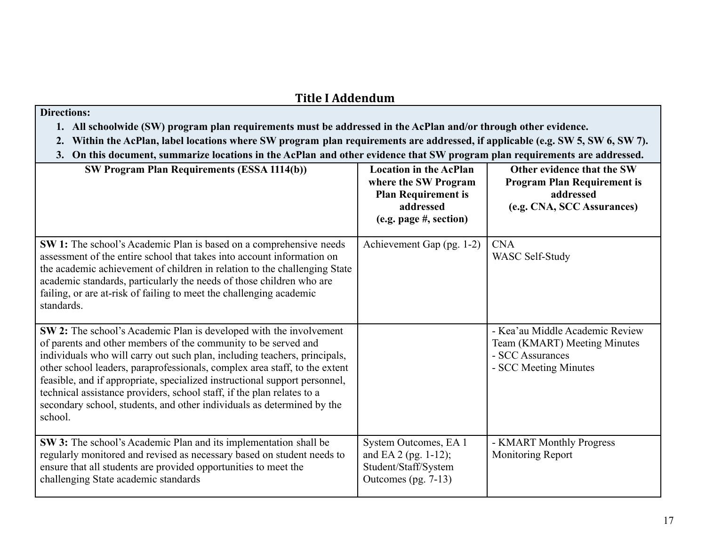### **Title I Addendum**

#### **Directions:**

- **1. All schoolwide (SW) program plan requirements must be addressed in the AcPlan and/or through other evidence.**
- **2. Within the AcPlan, label locations where SW program plan requirements are addressed, if applicable (e.g. SW 5, SW 6, SW 7).**
- **3. On this document, summarize locations in the AcPlan and other evidence that SW program plan requirements are addressed.**

| <b>SW Program Plan Requirements (ESSA 1114(b))</b>                                                                                                                                                                                                                                                                                                                                                                                                                                                                                           | <b>Location in the AcPlan</b><br>where the SW Program<br><b>Plan Requirement is</b><br>addressed<br>(e.g. page #, section) | Other evidence that the SW<br><b>Program Plan Requirement is</b><br>addressed<br>(e.g. CNA, SCC Assurances)  |
|----------------------------------------------------------------------------------------------------------------------------------------------------------------------------------------------------------------------------------------------------------------------------------------------------------------------------------------------------------------------------------------------------------------------------------------------------------------------------------------------------------------------------------------------|----------------------------------------------------------------------------------------------------------------------------|--------------------------------------------------------------------------------------------------------------|
| SW 1: The school's Academic Plan is based on a comprehensive needs<br>assessment of the entire school that takes into account information on<br>the academic achievement of children in relation to the challenging State<br>academic standards, particularly the needs of those children who are<br>failing, or are at-risk of failing to meet the challenging academic<br>standards.                                                                                                                                                       | Achievement Gap (pg. 1-2)                                                                                                  | <b>CNA</b><br>WASC Self-Study                                                                                |
| SW 2: The school's Academic Plan is developed with the involvement<br>of parents and other members of the community to be served and<br>individuals who will carry out such plan, including teachers, principals,<br>other school leaders, paraprofessionals, complex area staff, to the extent<br>feasible, and if appropriate, specialized instructional support personnel,<br>technical assistance providers, school staff, if the plan relates to a<br>secondary school, students, and other individuals as determined by the<br>school. |                                                                                                                            | - Kea'au Middle Academic Review<br>Team (KMART) Meeting Minutes<br>- SCC Assurances<br>- SCC Meeting Minutes |
| SW 3: The school's Academic Plan and its implementation shall be<br>regularly monitored and revised as necessary based on student needs to<br>ensure that all students are provided opportunities to meet the<br>challenging State academic standards                                                                                                                                                                                                                                                                                        | System Outcomes, EA 1<br>and EA 2 (pg. 1-12);<br>Student/Staff/System<br>Outcomes $(pg. 7-13)$                             | - KMART Monthly Progress<br><b>Monitoring Report</b>                                                         |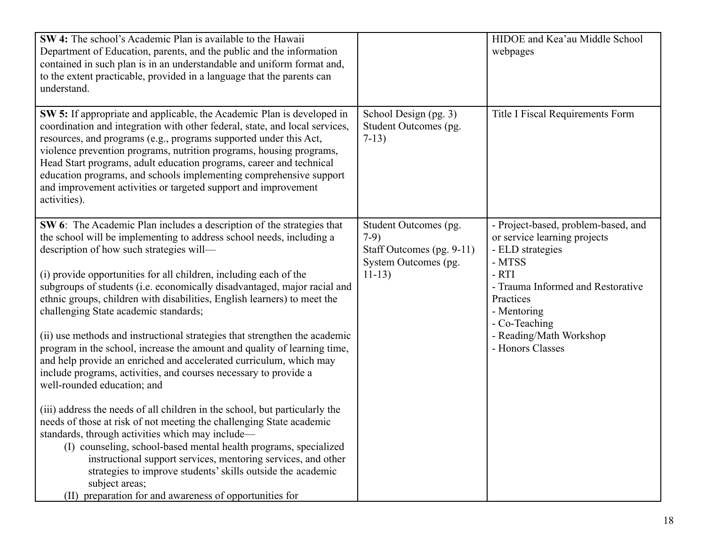| SW 4: The school's Academic Plan is available to the Hawaii<br>Department of Education, parents, and the public and the information<br>contained in such plan is in an understandable and uniform format and,<br>to the extent practicable, provided in a language that the parents can<br>understand.                                                                                                                                                                                                                                                                                                                                                                                                                                                                                             |                                                                                                  | HIDOE and Kea'au Middle School<br>webpages                                                                                                                                                                                                  |
|----------------------------------------------------------------------------------------------------------------------------------------------------------------------------------------------------------------------------------------------------------------------------------------------------------------------------------------------------------------------------------------------------------------------------------------------------------------------------------------------------------------------------------------------------------------------------------------------------------------------------------------------------------------------------------------------------------------------------------------------------------------------------------------------------|--------------------------------------------------------------------------------------------------|---------------------------------------------------------------------------------------------------------------------------------------------------------------------------------------------------------------------------------------------|
| SW 5: If appropriate and applicable, the Academic Plan is developed in<br>coordination and integration with other federal, state, and local services,<br>resources, and programs (e.g., programs supported under this Act,<br>violence prevention programs, nutrition programs, housing programs,<br>Head Start programs, adult education programs, career and technical<br>education programs, and schools implementing comprehensive support<br>and improvement activities or targeted support and improvement<br>activities).                                                                                                                                                                                                                                                                   | School Design (pg. 3)<br>Student Outcomes (pg.<br>$7-13)$                                        | Title I Fiscal Requirements Form                                                                                                                                                                                                            |
| SW 6: The Academic Plan includes a description of the strategies that<br>the school will be implementing to address school needs, including a<br>description of how such strategies will-<br>(i) provide opportunities for all children, including each of the<br>subgroups of students (i.e. economically disadvantaged, major racial and<br>ethnic groups, children with disabilities, English learners) to meet the<br>challenging State academic standards;<br>(ii) use methods and instructional strategies that strengthen the academic<br>program in the school, increase the amount and quality of learning time,<br>and help provide an enriched and accelerated curriculum, which may<br>include programs, activities, and courses necessary to provide a<br>well-rounded education; and | Student Outcomes (pg.<br>$7-9)$<br>Staff Outcomes (pg. 9-11)<br>System Outcomes (pg.<br>$11-13)$ | - Project-based, problem-based, and<br>or service learning projects<br>- ELD strategies<br>- MTSS<br>- RTI<br>- Trauma Informed and Restorative<br>Practices<br>- Mentoring<br>- Co-Teaching<br>- Reading/Math Workshop<br>- Honors Classes |
| (iii) address the needs of all children in the school, but particularly the<br>needs of those at risk of not meeting the challenging State academic<br>standards, through activities which may include—<br>(I) counseling, school-based mental health programs, specialized<br>instructional support services, mentoring services, and other<br>strategies to improve students' skills outside the academic<br>subject areas;<br>(II) preparation for and awareness of opportunities for                                                                                                                                                                                                                                                                                                           |                                                                                                  |                                                                                                                                                                                                                                             |